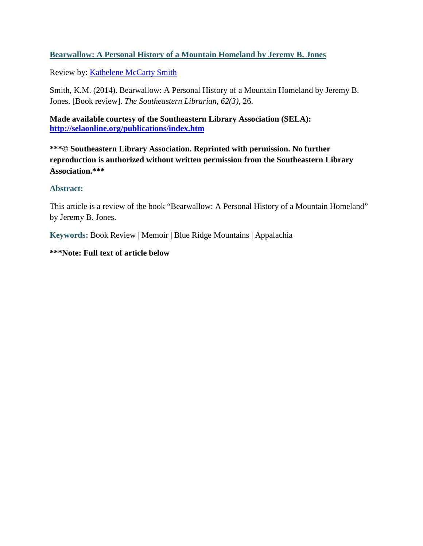## **Bearwallow: A Personal History of a Mountain Homeland by Jeremy B. Jones**

Review by: [Kathelene McCarty Smith](https://libres.uncg.edu/ir/uncg/clist.aspx?id=4861)

Smith, K.M. (2014). Bearwallow: A Personal History of a Mountain Homeland by Jeremy B. Jones. [Book review]. *The Southeastern Librarian, 62(3)*, 26.

**Made available courtesy of the Southeastern Library Association (SELA): <http://selaonline.org/publications/index.htm>**

**\*\*\*© Southeastern Library Association. Reprinted with permission. No further reproduction is authorized without written permission from the Southeastern Library Association.\*\*\*** 

## **Abstract:**

This article is a review of the book "Bearwallow: A Personal History of a Mountain Homeland" by Jeremy B. Jones.

**Keywords:** Book Review | Memoir | Blue Ridge Mountains | Appalachia

## **\*\*\*Note: Full text of article below**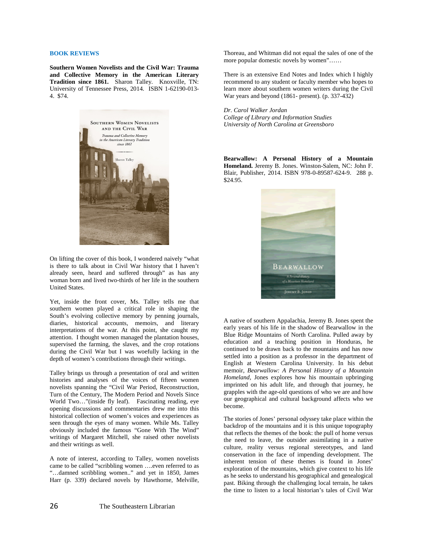## **BOOK REVIEWS**

**Southern Women Novelists and the Civil War: Trauma and Collective Memory in the American Literary Tradition since 1861.** Sharon Talley. Knoxville, TN: University of Tennessee Press, 2014. ISBN 1-62190-013- 4. \$74.



On lifting the cover of this book, I wondered naively "what is there to talk about in Civil War history that I haven't already seen, heard and suffered through" as has any woman born and lived two-thirds of her life in the southern United States.

Yet, inside the front cover, Ms. Talley tells me that southern women played a critical role in shaping the South's evolving collective memory by penning journals, diaries, historical accounts, memoirs, and literary interpretations of the war. At this point, she caught my attention. I thought women managed the plantation houses, supervised the farming, the slaves, and the crop rotations during the Civil War but I was woefully lacking in the depth of women's contributions through their writings.

Talley brings us through a presentation of oral and written histories and analyses of the voices of fifteen women novelists spanning the "Civil War Period, Reconstruction, Turn of the Century, The Modern Period and Novels Since World Two…"(inside fly leaf). Fascinating reading, eye opening discussions and commentaries drew me into this historical collection of women's voices and experiences as seen through the eyes of many women. While Ms. Talley obviously included the famous "Gone With The Wind" writings of Margaret Mitchell, she raised other novelists and their writings as well.

A note of interest, according to Talley, women novelists came to be called "scribbling women ….even referred to as "…damned scribbling women.." and yet in 1850, James Harr (p. 339) declared novels by Hawthorne, Melville, Thoreau, and Whitman did not equal the sales of one of the more popular domestic novels by women"……

There is an extensive End Notes and Index which I highly recommend to any student or faculty member who hopes to learn more about southern women writers during the Civil War years and beyond (1861- present). (p. 337-432)

*Dr. Carol Walker Jordan College of Library and Information Studies University of North Carolina at Greensboro*

**Bearwallow: A Personal History of a Mountain Homeland.** Jeremy B. Jones. Winston-Salem, NC: John F. Blair, Publisher, 2014. ISBN 978-0-89587-624-9. 288 p. \$24.95.



A native of southern Appalachia, Jeremy B. Jones spent the early years of his life in the shadow of Bearwallow in the Blue Ridge Mountains of North Carolina. Pulled away by education and a teaching position in Honduras, he continued to be drawn back to the mountains and has now settled into a position as a professor in the department of English at Western Carolina University. In his debut memoir, *Bearwallow: A Personal History of a Mountain Homeland*, Jones explores how his mountain upbringing imprinted on his adult life, and through that journey, he grapples with the age-old questions of who we are and how our geographical and cultural background affects who we become.

The stories of Jones' personal odyssey take place within the backdrop of the mountains and it is this unique topography that reflects the themes of the book: the pull of home versus the need to leave, the outsider assimilating in a native culture, reality versus regional stereotypes, and land conservation in the face of impending development. The inherent tension of these themes is found in Jones' exploration of the mountains, which give context to his life as he seeks to understand his geographical and genealogical past. Biking through the challenging local terrain, he takes the time to listen to a local historian's tales of Civil War